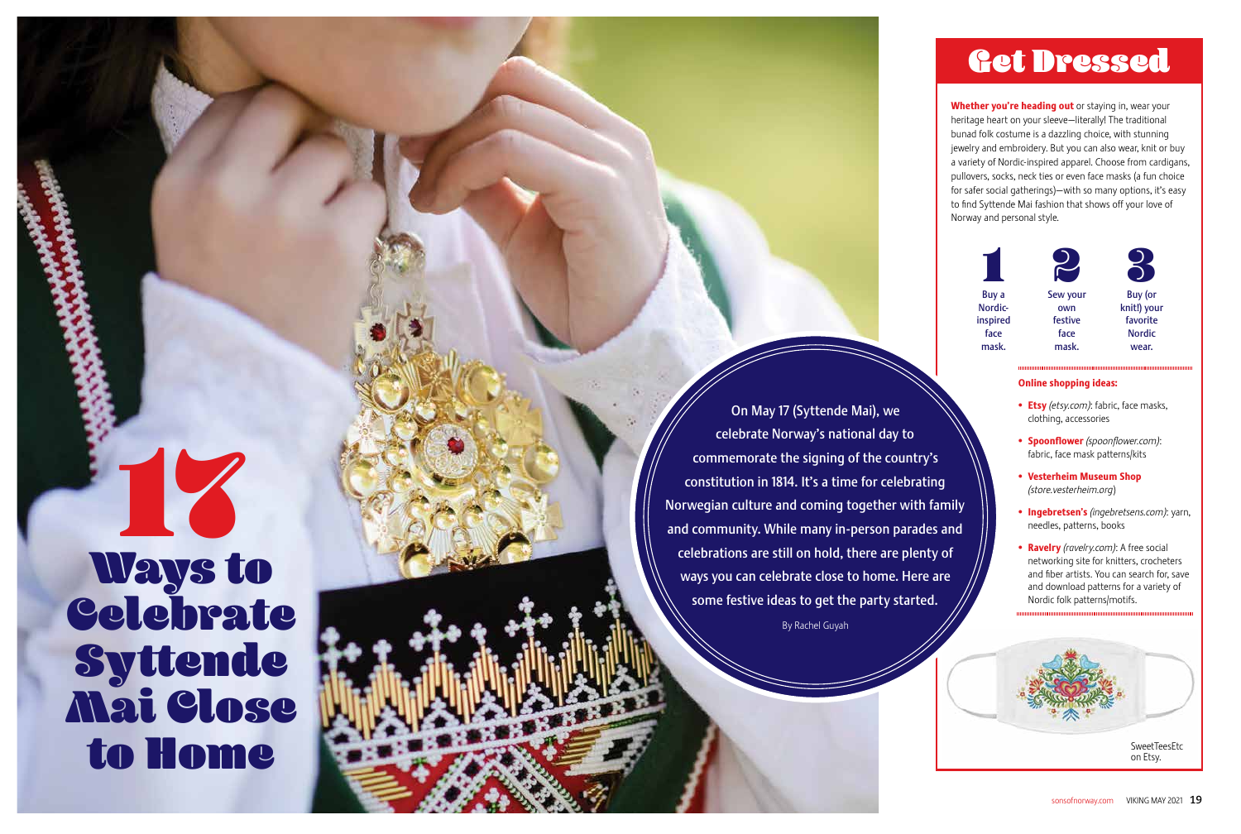#### Online shopping ideas:

17 Ways to Celebrate Syttende Mai Close to Home

- Etsy *(etsy.com)*: fabric, face masks, clothing, accessories
- Spoonflower *(spoonflower.com)* : fabric, face mask patterns/kits
- Vesterheim Museum Shop *(store.vesterheim.org* )
- Ingebretsen's *(ingebretsens.com)*: yarn, needles, patterns, books
- Ravelry *(ravelry.com)*: A free social networking site for knitters, crocheters and fiber artists. You can search for, save and download patterns for a variety of Nordic folk patterns/motifs.



## On May 17 (Syttende Mai), we celebrate Norway's national day to commemorate the signing of the country's constitution in 1814. It's a time for celebrating Norwegian culture and coming together with family and community. While many in-person parades and celebrations are still on hold, there are plenty of ways you can celebrate close to home. Here are some festive ideas to get the party started.

Whether you're heading out or staying in, wear your heritage heart on your sleeve—literally! The traditional bunad folk costume is a dazzling choice, with stunning jewelry and embroidery. But you can also wear, knit or buy a variety of Nordic-inspired apparel. Choose from cardigans, pullovers, socks, neck ties or even face masks (a fun choice for safer social gatherings)—with so many options, it's easy to find Syttende Mai fashion that shows off your love of Norway and personal style.

By Rachel Guyah









SweetTeesEtc on Etsy.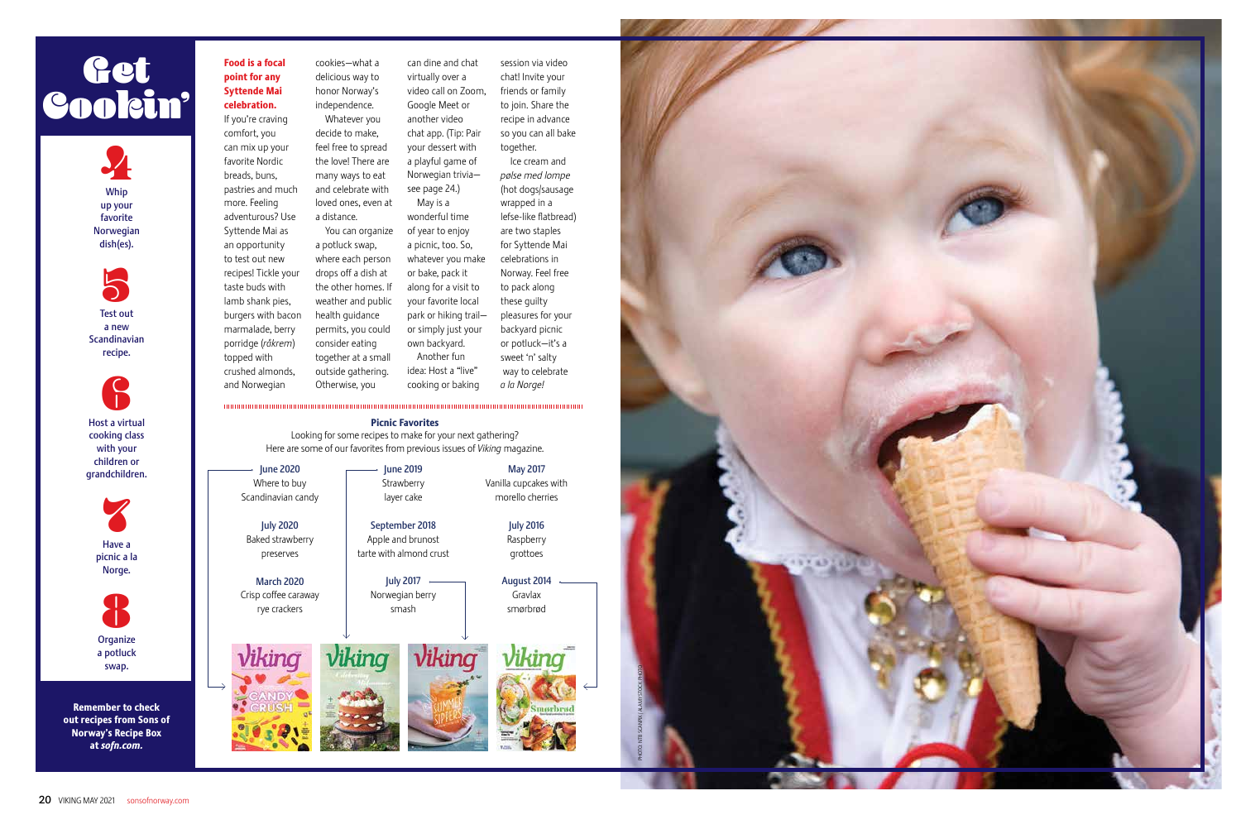#### Food is a focal point for any Syttende Mai celebration.



favorite Norwegian dish(es).

Test out a new Scandinavian recipe.





cooking class with your children or grandchildren.



If you're craving comfort, you can mix up your favorite Nordic breads, buns, pastries and much more. Feeling adventurous? Use Syttende Mai as an opportunity to test out new recipes! Tickle your taste buds with lamb shank pies, burgers with bacon marmalade, berry porridge (*råkrem*) topped with crushed almonds, and Norwegian Otherwise, you



a potluck swap.

# Get Cookin'

Remember to check out recipes from Sons of Norway's Recipe Box at *sofn.com.* 

cookies—what a delicious way to honor Norway's independence. Whatever you decide to make, feel free to spread

virtually over a

the love! There are many ways to eat and celebrate with loved ones, even at a distance. You can organize a potluck swap, where each person drops off a dish at the other homes. If weather and public health guidance permits, you could consider eating together at a small outside gathering. your dessert with a playful game of Norwegian trivia see page 24.) May is a wonderful time of year to enjoy a picnic, too. So, whatever you make or bake, pack it along for a visit to your favorite local park or hiking trail or simply just your own backyard. Another fun idea: Host a "live"

Google Meet or another video

can dine and chat video call on Zoom, chat app. (Tip: Pair session via video together.

cooking or baking

chat! Invite your friends or family to join. Share the recipe in advance so you can all bake Ice cream and *pølse med lompe* (hot dogs/sausage wrapped in a lefse-like flatbread) are two staples for Syttende Mai celebrations in Norway. Feel free to pack along these guilty pleasures for your backyard picnic or potluck—it's a sweet 'n' salty way to celebrate

*a la Norge!*

June 2020 Where to buy Scandinavian candy

July 2020 Baked strawberry preserves

March 2020 Crisp coffee caraway rye crackers

Viking



September 2018 Apple and brunost tarte with almond crust

> July 2017 Norwegian berry smash

May 2017 Vanilla cupcakes with morello cherries

> July 2016 Raspberry

grottoes







#### Picnic Favorites

Looking for some recipes to make for your next gathering? Here are some of our favorites from previous issues of *Viking* magazine.

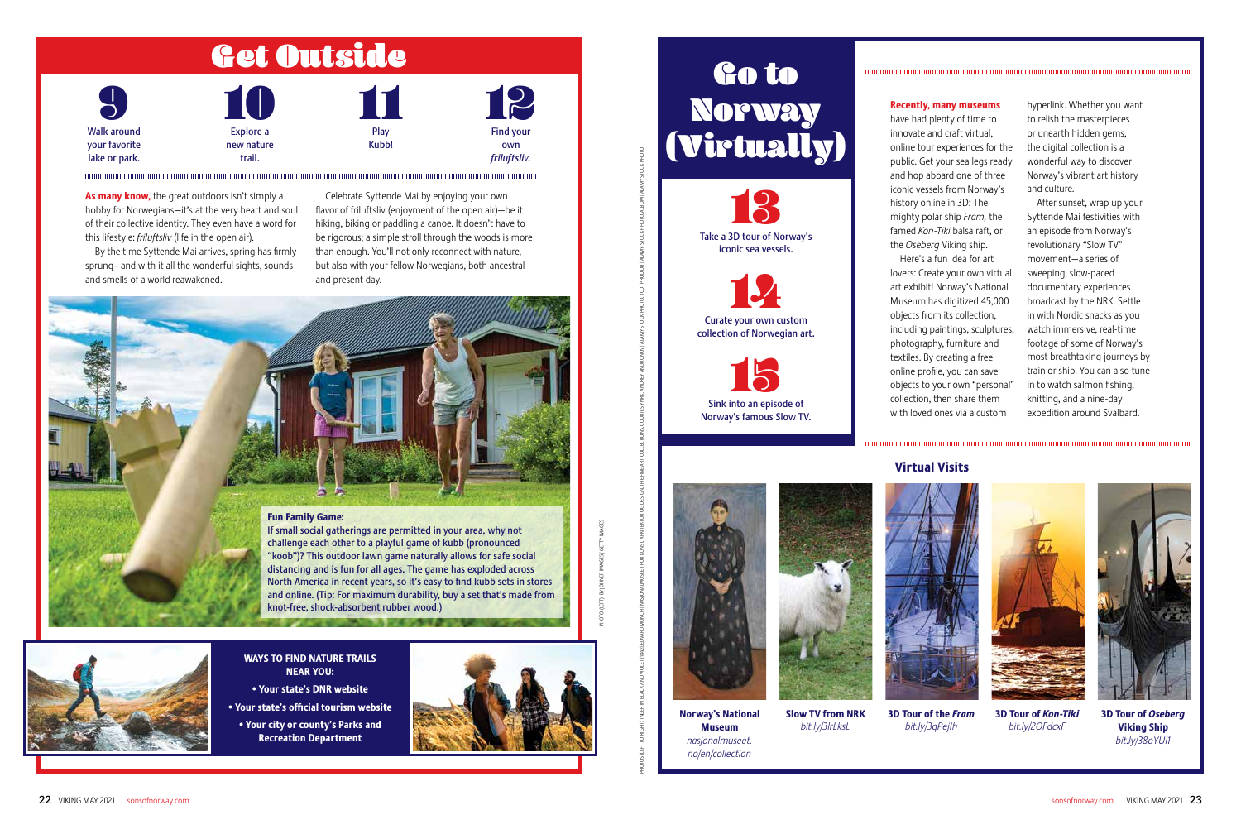| $\overline{\mathbf{S}}$ | 10         |       | $\mathbb{R}$     |
|-------------------------|------------|-------|------------------|
| Walk around             | Explore a  | Play  | <b>Find your</b> |
| your favorite           | new nature | Kubb! | own              |
| lake or park.           | trail.     |       | friluftsliv.     |

# Get Outside

#### Fun Family Game:

As many know, the great outdoors isn't simply a hobby for Norwegians—it's at the very heart and soul of their collective identity. They even have a word for this lifestyle: *friluftsliv* (life in the open air).

> If small social gatherings are permitted in your area, why not challenge each other to a playful game of kubb (pronounced "koob")? This outdoor lawn game naturally allows for safe social distancing and is fun for all ages. The game has exploded across North America in recent years, so it's easy to find kubb sets in stores and online. (Tip: For maximum durability, buy a set that's made from knot-free, shock-absorbent rubber wood.)



By the time Syttende Mai arrives, spring has firmly sprung—and with it all the wonderful sights, sounds and smells of a world reawakened.

Celebrate Syttende Mai by enjoying your own flavor of friluftsliv (enjoyment of the open air)—be it hiking, biking or paddling a canoe. It doesn't have to be rigorous; a simple stroll through the woods is more than enough. You'll not only reconnect with nature, but also with your fellow Norwegians, both ancestral and present day.



#### WAYS TO FIND NATURE TRAILS NEAR YOU:

- Your state's DNR website
- Your state's official tourism website
- Your city or county's Parks and Recreation Department



# Go to Norway (Virtually)

### Recently, many museums

have had plenty of time to innovate and craft virtual, online tour experiences for the public. Get your sea legs ready and hop aboard one of three iconic vessels from Norway's history online in 3D: The mighty polar ship *Fram,* the famed *Kon-Tiki* balsa raft, or the *Oseberg* Viking ship.

Here's a fun idea for art lovers: Create your own virtual art exhibit! Norway's National Museum has digitized 45,000 objects from its collection, including paintings, sculptures, photography, furniture and textiles. By creating a free online profile, you can save objects to your own "personal" collection, then share them with loved ones via a custom

hyperlink. Whether you want to relish the masterpieces or unearth hidden gems, the digital collection is a wonderful way to discover Norway's vibrant art history and culture.

After sunset, wrap up your Syttende Mai festivities with an episode from Norway's revolutionary "Slow TV" movement—a series of sweeping, slow-paced documentary experiences broadcast by the NRK. Settle in with Nordic snacks as you watch immersive, real-time footage of some of Norway's most breathtaking journeys by train or ship. You can also tune in to watch salmon fishing, knitting, and a nine-day expedition around Svalbard.



Norway's National Museum *nasjonalmuseet. no/en/collection*



PHOTOS FIGHATA INANY WASIONALMUSER FOR KUNST, ARKITEKTUR OG DESIGN, THE FINE ARKITEST WAS KOURTESY NAVEWANT STOCK PHOTO, TCD (PAAMY STOCK PHOTO, ALBAMY STOCK PHOTO, NAVAY STOCK PHOTO, NAVAY STOCK PHOTO, NAVAY STOCK PHOTO,

*bit.ly/3lrLksL*



3D Tour of the *Fram bit.ly/3qPejIh*



3D Tour of *Kon-Tiki bit.ly/2OFdcxF*



3D Tour of *Oseberg* Viking Ship *bit.ly/38oYUI1*





### Virtual Visits

PHOTO (LEFT) BY JOHNER IMAGES / GETTY IMAGES